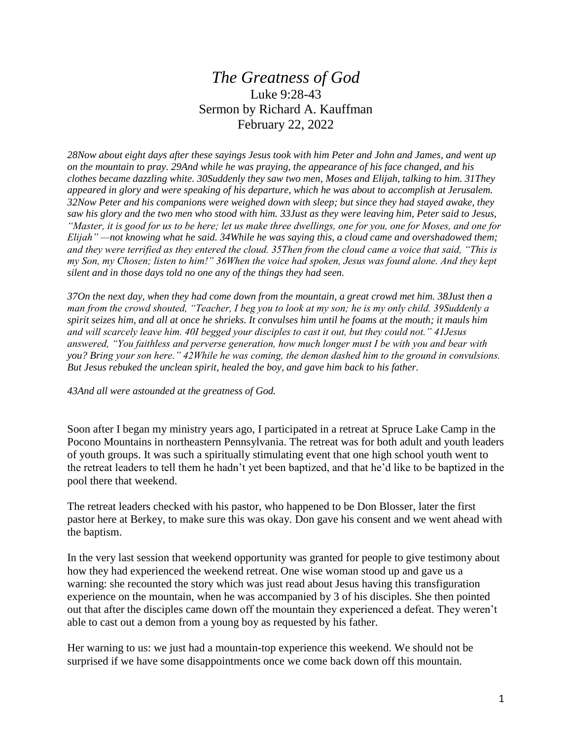## *The Greatness of God* Luke 9:28-43 Sermon by Richard A. Kauffman February 22, 2022

*28Now about eight days after these sayings Jesus took with him Peter and John and James, and went up on the mountain to pray. 29And while he was praying, the appearance of his face changed, and his clothes became dazzling white. 30Suddenly they saw two men, Moses and Elijah, talking to him. 31They appeared in glory and were speaking of his departure, which he was about to accomplish at Jerusalem. 32Now Peter and his companions were weighed down with sleep; but since they had stayed awake, they saw his glory and the two men who stood with him. 33Just as they were leaving him, Peter said to Jesus, "Master, it is good for us to be here; let us make three dwellings, one for you, one for Moses, and one for Elijah" —not knowing what he said. 34While he was saying this, a cloud came and overshadowed them; and they were terrified as they entered the cloud. 35Then from the cloud came a voice that said, "This is my Son, my Chosen; listen to him!" 36When the voice had spoken, Jesus was found alone. And they kept silent and in those days told no one any of the things they had seen.*

*37On the next day, when they had come down from the mountain, a great crowd met him. 38Just then a man from the crowd shouted, "Teacher, I beg you to look at my son; he is my only child. 39Suddenly a spirit seizes him, and all at once he shrieks. It convulses him until he foams at the mouth; it mauls him and will scarcely leave him. 40I begged your disciples to cast it out, but they could not." 41Jesus answered, "You faithless and perverse generation, how much longer must I be with you and bear with you? Bring your son here." 42While he was coming, the demon dashed him to the ground in convulsions. But Jesus rebuked the unclean spirit, healed the boy, and gave him back to his father.*

*43And all were astounded at the greatness of God.*

Soon after I began my ministry years ago, I participated in a retreat at Spruce Lake Camp in the Pocono Mountains in northeastern Pennsylvania. The retreat was for both adult and youth leaders of youth groups. It was such a spiritually stimulating event that one high school youth went to the retreat leaders to tell them he hadn't yet been baptized, and that he'd like to be baptized in the pool there that weekend.

The retreat leaders checked with his pastor, who happened to be Don Blosser, later the first pastor here at Berkey, to make sure this was okay. Don gave his consent and we went ahead with the baptism.

In the very last session that weekend opportunity was granted for people to give testimony about how they had experienced the weekend retreat. One wise woman stood up and gave us a warning: she recounted the story which was just read about Jesus having this transfiguration experience on the mountain, when he was accompanied by 3 of his disciples. She then pointed out that after the disciples came down off the mountain they experienced a defeat. They weren't able to cast out a demon from a young boy as requested by his father.

Her warning to us: we just had a mountain-top experience this weekend. We should not be surprised if we have some disappointments once we come back down off this mountain.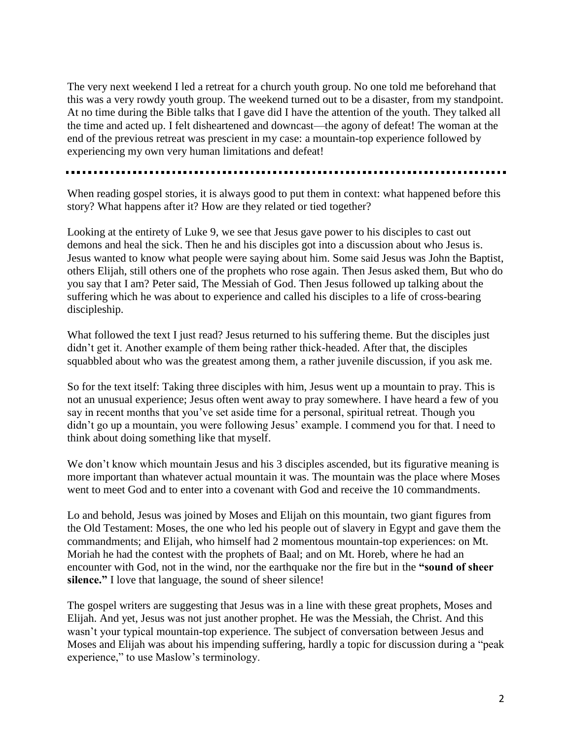The very next weekend I led a retreat for a church youth group. No one told me beforehand that this was a very rowdy youth group. The weekend turned out to be a disaster, from my standpoint. At no time during the Bible talks that I gave did I have the attention of the youth. They talked all the time and acted up. I felt disheartened and downcast—the agony of defeat! The woman at the end of the previous retreat was prescient in my case: a mountain-top experience followed by experiencing my own very human limitations and defeat!

When reading gospel stories, it is always good to put them in context: what happened before this story? What happens after it? How are they related or tied together?

Looking at the entirety of Luke 9, we see that Jesus gave power to his disciples to cast out demons and heal the sick. Then he and his disciples got into a discussion about who Jesus is. Jesus wanted to know what people were saying about him. Some said Jesus was John the Baptist, others Elijah, still others one of the prophets who rose again. Then Jesus asked them, But who do you say that I am? Peter said, The Messiah of God. Then Jesus followed up talking about the suffering which he was about to experience and called his disciples to a life of cross-bearing discipleship.

What followed the text I just read? Jesus returned to his suffering theme. But the disciples just didn't get it. Another example of them being rather thick-headed. After that, the disciples squabbled about who was the greatest among them, a rather juvenile discussion, if you ask me.

So for the text itself: Taking three disciples with him, Jesus went up a mountain to pray. This is not an unusual experience; Jesus often went away to pray somewhere. I have heard a few of you say in recent months that you've set aside time for a personal, spiritual retreat. Though you didn't go up a mountain, you were following Jesus' example. I commend you for that. I need to think about doing something like that myself.

We don't know which mountain Jesus and his 3 disciples ascended, but its figurative meaning is more important than whatever actual mountain it was. The mountain was the place where Moses went to meet God and to enter into a covenant with God and receive the 10 commandments.

Lo and behold, Jesus was joined by Moses and Elijah on this mountain, two giant figures from the Old Testament: Moses, the one who led his people out of slavery in Egypt and gave them the commandments; and Elijah, who himself had 2 momentous mountain-top experiences: on Mt. Moriah he had the contest with the prophets of Baal; and on Mt. Horeb, where he had an encounter with God, not in the wind, nor the earthquake nor the fire but in the **"sound of sheer silence."** I love that language, the sound of sheer silence!

The gospel writers are suggesting that Jesus was in a line with these great prophets, Moses and Elijah. And yet, Jesus was not just another prophet. He was the Messiah, the Christ. And this wasn't your typical mountain-top experience. The subject of conversation between Jesus and Moses and Elijah was about his impending suffering, hardly a topic for discussion during a "peak experience," to use Maslow's terminology.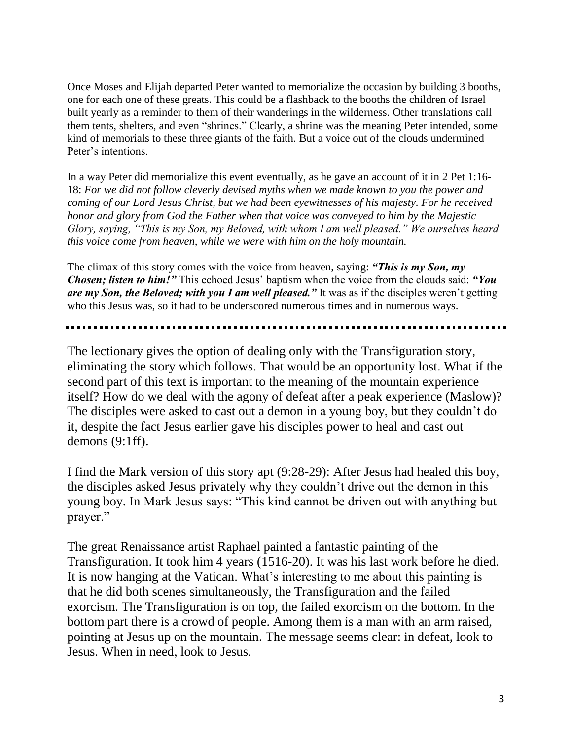Once Moses and Elijah departed Peter wanted to memorialize the occasion by building 3 booths, one for each one of these greats. This could be a flashback to the booths the children of Israel built yearly as a reminder to them of their wanderings in the wilderness. Other translations call them tents, shelters, and even "shrines." Clearly, a shrine was the meaning Peter intended, some kind of memorials to these three giants of the faith. But a voice out of the clouds undermined Peter's intentions.

In a way Peter did memorialize this event eventually, as he gave an account of it in 2 Pet 1:16- 18: *For we did not follow cleverly devised myths when we made known to you the power and coming of our Lord Jesus Christ, but we had been eyewitnesses of his majesty. For he received honor and glory from God the Father when that voice was conveyed to him by the Majestic Glory, saying, "This is my Son, my Beloved, with whom I am well pleased." We ourselves heard this voice come from heaven, while we were with him on the holy mountain.*

The climax of this story comes with the voice from heaven, saying: *"This is my Son, my Chosen; listen to him!"* This echoed Jesus' baptism when the voice from the clouds said: *"You are my Son, the Beloved; with you I am well pleased."* It was as if the disciples weren't getting who this Jesus was, so it had to be underscored numerous times and in numerous ways.

The lectionary gives the option of dealing only with the Transfiguration story, eliminating the story which follows. That would be an opportunity lost. What if the second part of this text is important to the meaning of the mountain experience itself? How do we deal with the agony of defeat after a peak experience (Maslow)? The disciples were asked to cast out a demon in a young boy, but they couldn't do it, despite the fact Jesus earlier gave his disciples power to heal and cast out demons (9:1ff).

I find the Mark version of this story apt (9:28-29): After Jesus had healed this boy, the disciples asked Jesus privately why they couldn't drive out the demon in this young boy. In Mark Jesus says: "This kind cannot be driven out with anything but prayer."

The great Renaissance artist Raphael painted a fantastic painting of the Transfiguration. It took him 4 years (1516-20). It was his last work before he died. It is now hanging at the Vatican. What's interesting to me about this painting is that he did both scenes simultaneously, the Transfiguration and the failed exorcism. The Transfiguration is on top, the failed exorcism on the bottom. In the bottom part there is a crowd of people. Among them is a man with an arm raised, pointing at Jesus up on the mountain. The message seems clear: in defeat, look to Jesus. When in need, look to Jesus.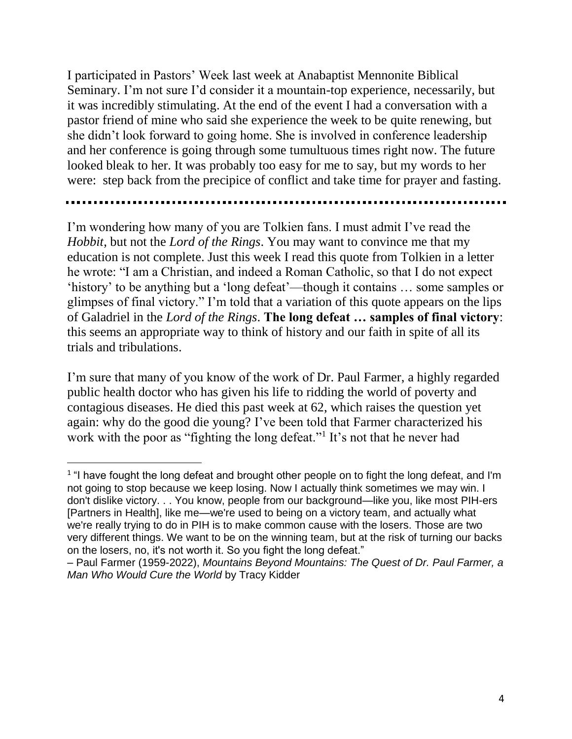I participated in Pastors' Week last week at Anabaptist Mennonite Biblical Seminary. I'm not sure I'd consider it a mountain-top experience, necessarily, but it was incredibly stimulating. At the end of the event I had a conversation with a pastor friend of mine who said she experience the week to be quite renewing, but she didn't look forward to going home. She is involved in conference leadership and her conference is going through some tumultuous times right now. The future looked bleak to her. It was probably too easy for me to say, but my words to her were: step back from the precipice of conflict and take time for prayer and fasting.

I'm wondering how many of you are Tolkien fans. I must admit I've read the *Hobbit*, but not the *Lord of the Rings*. You may want to convince me that my education is not complete. Just this week I read this quote from Tolkien in a letter he wrote: "I am a Christian, and indeed a Roman Catholic, so that I do not expect 'history' to be anything but a 'long defeat'—though it contains … some samples or glimpses of final victory." I'm told that a variation of this quote appears on the lips of Galadriel in the *Lord of the Rings*. **The long defeat … samples of final victory**: this seems an appropriate way to think of history and our faith in spite of all its trials and tribulations.

I'm sure that many of you know of the work of Dr. Paul Farmer, a highly regarded public health doctor who has given his life to ridding the world of poverty and contagious diseases. He died this past week at 62, which raises the question yet again: why do the good die young? I've been told that Farmer characterized his work with the poor as "fighting the long defeat."<sup>1</sup> It's not that he never had

 $\overline{a}$ 

<sup>&</sup>lt;sup>1</sup> "I have fought the long defeat and brought other people on to fight the long defeat, and I'm not going to stop because we keep losing. Now I actually think sometimes we may win. I don't dislike victory. . . You know, people from our background—like you, like most PIH-ers [Partners in Health], like me—we're used to being on a victory team, and actually what we're really trying to do in PIH is to make common cause with the losers. Those are two very different things. We want to be on the winning team, but at the risk of turning our backs on the losers, no, it's not worth it. So you fight the long defeat."

<sup>–</sup> Paul Farmer (1959-2022), *Mountains Beyond Mountains: The Quest of Dr. Paul Farmer, a Man Who Would Cure the World* by Tracy Kidder